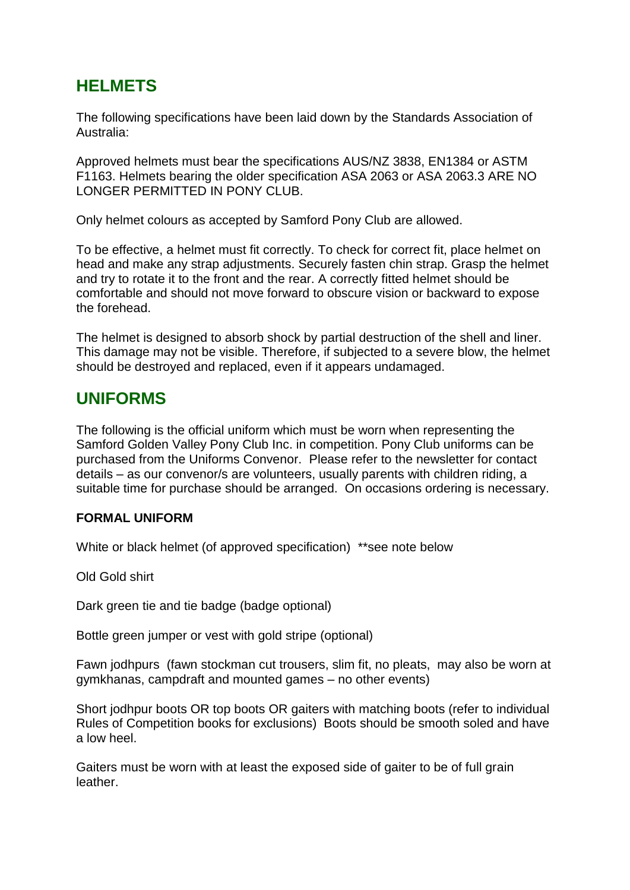# **HELMETS**

The following specifications have been laid down by the Standards Association of Australia:

Approved helmets must bear the specifications AUS/NZ 3838, EN1384 or ASTM F1163. Helmets bearing the older specification ASA 2063 or ASA 2063.3 ARE NO LONGER PERMITTED IN PONY CLUB.

Only helmet colours as accepted by Samford Pony Club are allowed.

To be effective, a helmet must fit correctly. To check for correct fit, place helmet on head and make any strap adjustments. Securely fasten chin strap. Grasp the helmet and try to rotate it to the front and the rear. A correctly fitted helmet should be comfortable and should not move forward to obscure vision or backward to expose the forehead.

The helmet is designed to absorb shock by partial destruction of the shell and liner. This damage may not be visible. Therefore, if subjected to a severe blow, the helmet should be destroyed and replaced, even if it appears undamaged.

## **UNIFORMS**

The following is the official uniform which must be worn when representing the Samford Golden Valley Pony Club Inc. in competition. Pony Club uniforms can be purchased from the Uniforms Convenor. Please refer to the newsletter for contact details – as our convenor/s are volunteers, usually parents with children riding, a suitable time for purchase should be arranged. On occasions ordering is necessary.

### **FORMAL UNIFORM**

White or black helmet (of approved specification) \*\*see note below

Old Gold shirt

Dark green tie and tie badge (badge optional)

Bottle green jumper or vest with gold stripe (optional)

Fawn jodhpurs (fawn stockman cut trousers, slim fit, no pleats, may also be worn at gymkhanas, campdraft and mounted games – no other events)

Short jodhpur boots OR top boots OR gaiters with matching boots (refer to individual Rules of Competition books for exclusions) Boots should be smooth soled and have a low heel.

Gaiters must be worn with at least the exposed side of gaiter to be of full grain leather.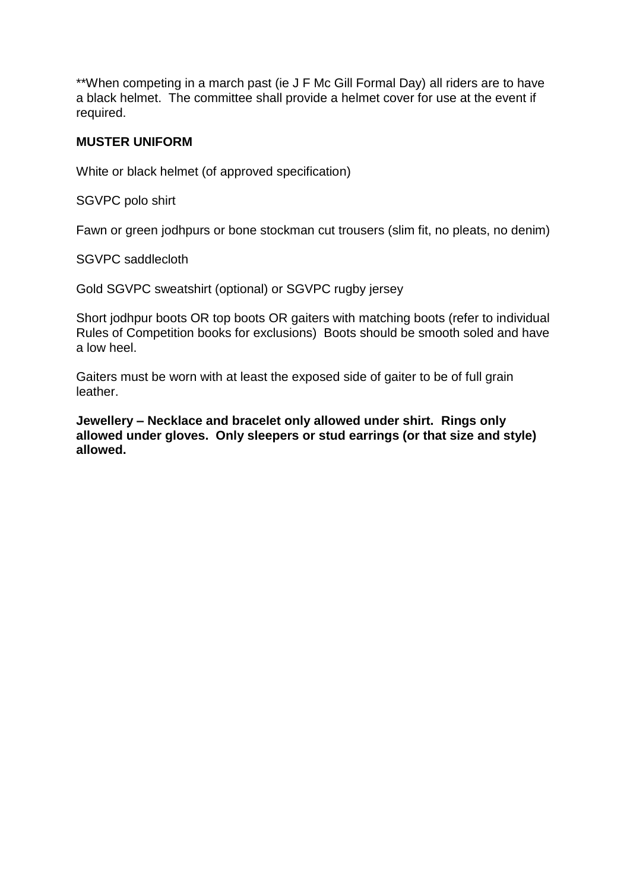\*\*When competing in a march past (ie J F Mc Gill Formal Day) all riders are to have a black helmet. The committee shall provide a helmet cover for use at the event if required.

### **MUSTER UNIFORM**

White or black helmet (of approved specification)

SGVPC polo shirt

Fawn or green jodhpurs or bone stockman cut trousers (slim fit, no pleats, no denim)

SGVPC saddlecloth

Gold SGVPC sweatshirt (optional) or SGVPC rugby jersey

Short jodhpur boots OR top boots OR gaiters with matching boots (refer to individual Rules of Competition books for exclusions) Boots should be smooth soled and have a low heel.

Gaiters must be worn with at least the exposed side of gaiter to be of full grain leather.

**Jewellery – Necklace and bracelet only allowed under shirt. Rings only allowed under gloves. Only sleepers or stud earrings (or that size and style) allowed.**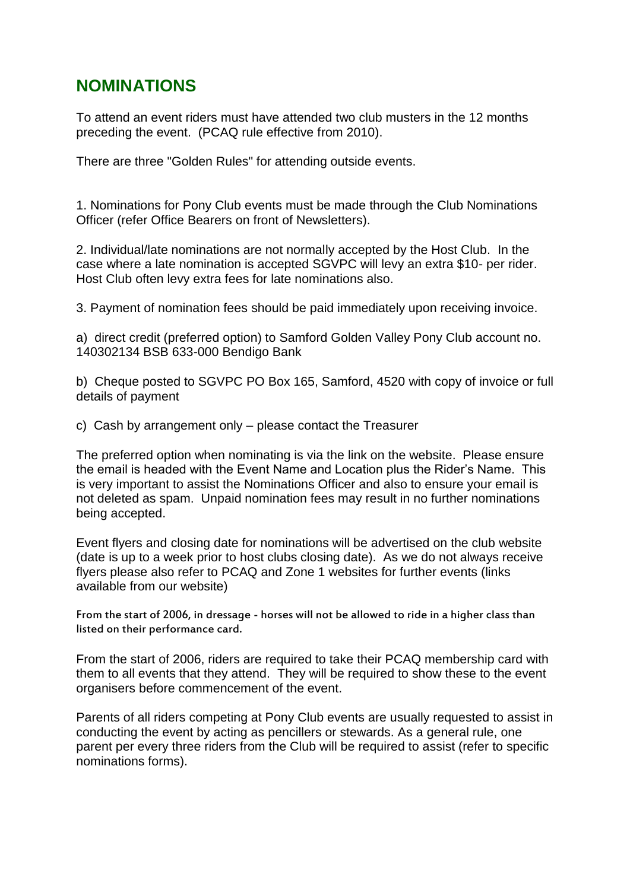## **NOMINATIONS**

To attend an event riders must have attended two club musters in the 12 months preceding the event. (PCAQ rule effective from 2010).

There are three "Golden Rules" for attending outside events.

1. Nominations for Pony Club events must be made through the Club Nominations Officer (refer Office Bearers on front of Newsletters).

2. Individual/late nominations are not normally accepted by the Host Club. In the case where a late nomination is accepted SGVPC will levy an extra \$10- per rider. Host Club often levy extra fees for late nominations also.

3. Payment of nomination fees should be paid immediately upon receiving invoice.

a) direct credit (preferred option) to Samford Golden Valley Pony Club account no. 140302134 BSB 633-000 Bendigo Bank

b) Cheque posted to SGVPC PO Box 165, Samford, 4520 with copy of invoice or full details of payment

c) Cash by arrangement only – please contact the Treasurer

The preferred option when nominating is via the link on the website. Please ensure the email is headed with the Event Name and Location plus the Rider's Name. This is very important to assist the Nominations Officer and also to ensure your email is not deleted as spam. Unpaid nomination fees may result in no further nominations being accepted.

Event flyers and closing date for nominations will be advertised on the club website (date is up to a week prior to host clubs closing date). As we do not always receive flyers please also refer to PCAQ and Zone 1 websites for further events (links available from our website)

From the start of 2006, in dressage - horses will not be allowed to ride in a higher class than listed on their performance card.

From the start of 2006, riders are required to take their PCAQ membership card with them to all events that they attend. They will be required to show these to the event organisers before commencement of the event.

Parents of all riders competing at Pony Club events are usually requested to assist in conducting the event by acting as pencillers or stewards. As a general rule, one parent per every three riders from the Club will be required to assist (refer to specific nominations forms).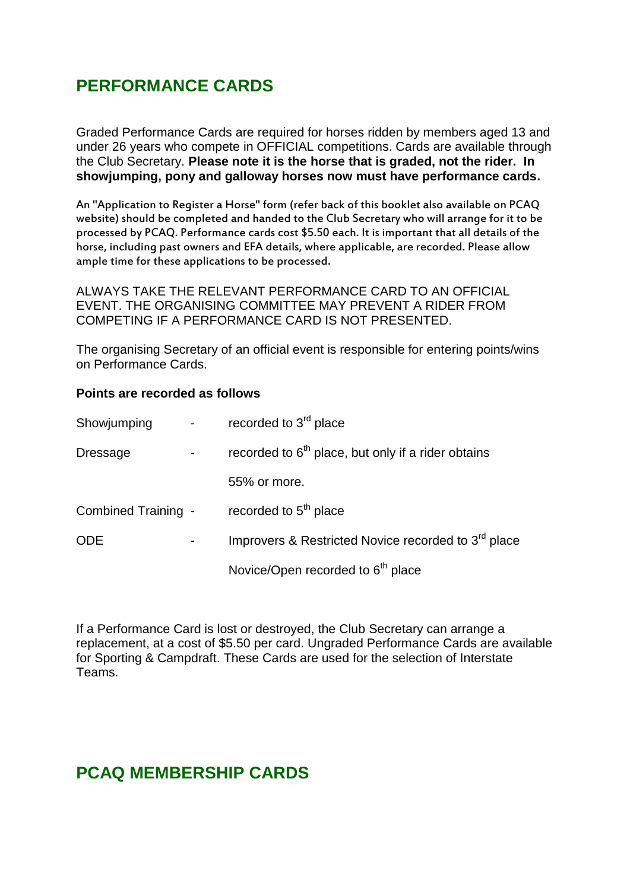# **PERFORMANCE CARDS**

Graded Performance Cards are required for horses ridden by members aged 13 and under 26 years who compete in OFFICIAL competitions. Cards are available through the Club Secretary. **Please note it is the horse that is graded, not the rider. In showjumping, pony and galloway horses now must have performance cards.**

An "Application to Register a Horse" form (refer back of this booklet also available on PCAQ website) should be completed and handed to the Club Secretary who will arrange for it to be processed by PCAQ. Performance cards cost \$5.50 each. It is important that all details of the horse, including past owners and EFA details, where applicable, are recorded. Please allow ample time for these applications to be processed.

ALWAYS TAKE THE RELEVANT PERFORMANCE CARD TO AN OFFICIAL EVENT. THE ORGANISING COMMITTEE MAY PREVENT A RIDER FROM COMPETING IF A PERFORMANCE CARD IS NOT PRESENTED.

The organising Secretary of an official event is responsible for entering points/wins on Performance Cards.

#### **Points are recorded as follows**

| Showjumping         | recorded to 3 <sup>rd</sup> place                               |
|---------------------|-----------------------------------------------------------------|
| <b>Dressage</b>     | recorded to $6th$ place, but only if a rider obtains            |
|                     | 55% or more.                                                    |
| Combined Training - | recorded to 5 <sup>th</sup> place                               |
| <b>ODE</b>          | Improvers & Restricted Novice recorded to 3 <sup>rd</sup> place |
|                     | Novice/Open recorded to 6 <sup>th</sup> place                   |

If a Performance Card is lost or destroyed, the Club Secretary can arrange a replacement, at a cost of \$5.50 per card. Ungraded Performance Cards are available for Sporting & Campdraft. These Cards are used for the selection of Interstate Teams.

## **PCAQ MEMBERSHIP CARDS**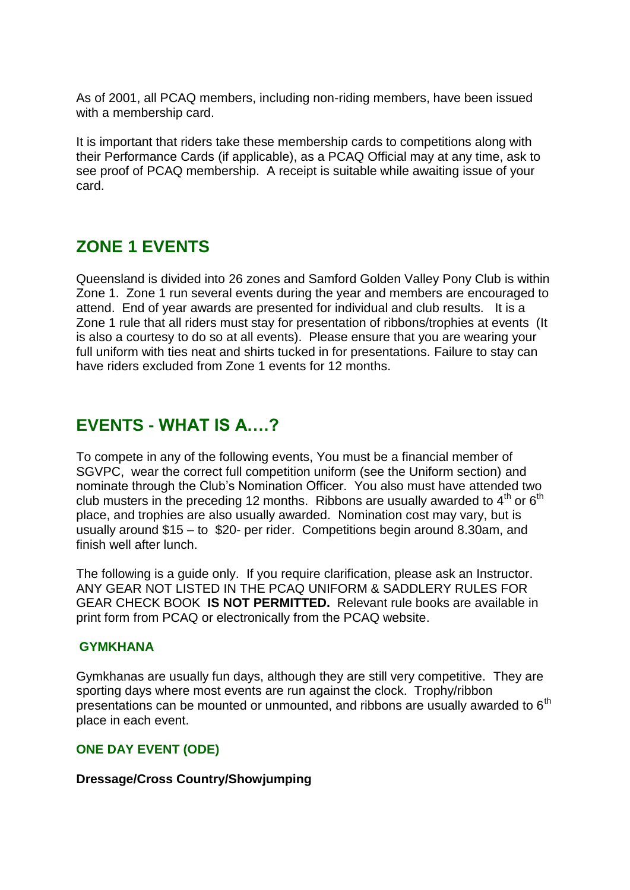As of 2001, all PCAQ members, including non-riding members, have been issued with a membership card.

It is important that riders take these membership cards to competitions along with their Performance Cards (if applicable), as a PCAQ Official may at any time, ask to see proof of PCAQ membership. A receipt is suitable while awaiting issue of your card.

# **ZONE 1 EVENTS**

Queensland is divided into 26 zones and Samford Golden Valley Pony Club is within Zone 1. Zone 1 run several events during the year and members are encouraged to attend. End of year awards are presented for individual and club results. It is a Zone 1 rule that all riders must stay for presentation of ribbons/trophies at events (It is also a courtesy to do so at all events). Please ensure that you are wearing your full uniform with ties neat and shirts tucked in for presentations. Failure to stay can have riders excluded from Zone 1 events for 12 months.

## **EVENTS - WHAT IS A….?**

To compete in any of the following events, You must be a financial member of SGVPC, wear the correct full competition uniform (see the Uniform section) and nominate through the Club's Nomination Officer. You also must have attended two club musters in the preceding 12 months. Ribbons are usually awarded to  $4<sup>th</sup>$  or  $6<sup>th</sup>$ place, and trophies are also usually awarded. Nomination cost may vary, but is usually around \$15 – to \$20- per rider. Competitions begin around 8.30am, and finish well after lunch.

The following is a guide only. If you require clarification, please ask an Instructor. ANY GEAR NOT LISTED IN THE PCAQ UNIFORM & SADDLERY RULES FOR GEAR CHECK BOOK **IS NOT PERMITTED.** Relevant rule books are available in print form from PCAQ or electronically from the PCAQ website.

### **GYMKHANA**

Gymkhanas are usually fun days, although they are still very competitive. They are sporting days where most events are run against the clock. Trophy/ribbon presentations can be mounted or unmounted, and ribbons are usually awarded to  $6<sup>th</sup>$ place in each event.

### **ONE DAY EVENT (ODE)**

#### **Dressage/Cross Country/Showjumping**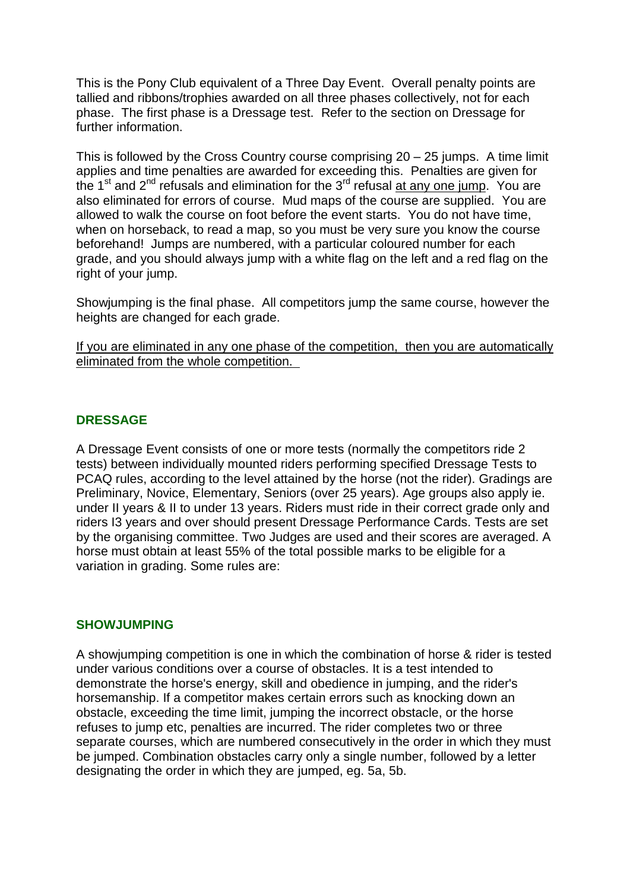This is the Pony Club equivalent of a Three Day Event. Overall penalty points are tallied and ribbons/trophies awarded on all three phases collectively, not for each phase. The first phase is a Dressage test. Refer to the section on Dressage for further information.

This is followed by the Cross Country course comprising 20 – 25 jumps. A time limit applies and time penalties are awarded for exceeding this. Penalties are given for the  $1<sup>st</sup>$  and  $2<sup>nd</sup>$  refusals and elimination for the  $3<sup>rd</sup>$  refusal at any one jump. You are also eliminated for errors of course. Mud maps of the course are supplied. You are allowed to walk the course on foot before the event starts. You do not have time, when on horseback, to read a map, so you must be very sure you know the course beforehand! Jumps are numbered, with a particular coloured number for each grade, and you should always jump with a white flag on the left and a red flag on the right of your jump.

Showjumping is the final phase. All competitors jump the same course, however the heights are changed for each grade.

If you are eliminated in any one phase of the competition, then you are automatically eliminated from the whole competition.

### **DRESSAGE**

A Dressage Event consists of one or more tests (normally the competitors ride 2 tests) between individually mounted riders performing specified Dressage Tests to PCAQ rules, according to the level attained by the horse (not the rider). Gradings are Preliminary, Novice, Elementary, Seniors (over 25 years). Age groups also apply ie. under II years & II to under 13 years. Riders must ride in their correct grade only and riders I3 years and over should present Dressage Performance Cards. Tests are set by the organising committee. Two Judges are used and their scores are averaged. A horse must obtain at least 55% of the total possible marks to be eligible for a variation in grading. Some rules are:

#### **SHOWJUMPING**

A showjumping competition is one in which the combination of horse & rider is tested under various conditions over a course of obstacles. It is a test intended to demonstrate the horse's energy, skill and obedience in jumping, and the rider's horsemanship. If a competitor makes certain errors such as knocking down an obstacle, exceeding the time limit, jumping the incorrect obstacle, or the horse refuses to jump etc, penalties are incurred. The rider completes two or three separate courses, which are numbered consecutively in the order in which they must be jumped. Combination obstacles carry only a single number, followed by a letter designating the order in which they are jumped, eg. 5a, 5b.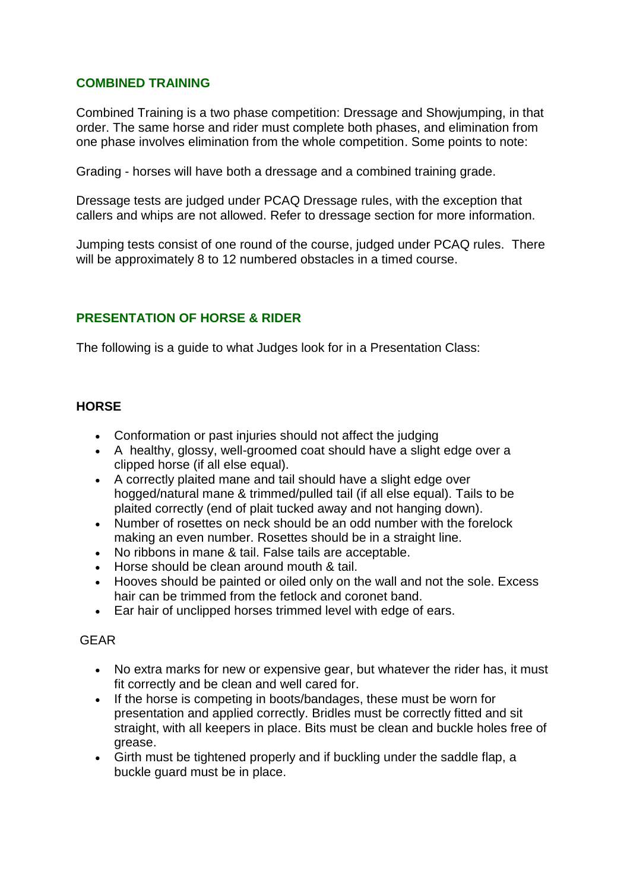### **COMBINED TRAINING**

Combined Training is a two phase competition: Dressage and Showjumping, in that order. The same horse and rider must complete both phases, and elimination from one phase involves elimination from the whole competition. Some points to note:

Grading - horses will have both a dressage and a combined training grade.

Dressage tests are judged under PCAQ Dressage rules, with the exception that callers and whips are not allowed. Refer to dressage section for more information.

Jumping tests consist of one round of the course, judged under PCAQ rules. There will be approximately 8 to 12 numbered obstacles in a timed course.

### **PRESENTATION OF HORSE & RIDER**

The following is a guide to what Judges look for in a Presentation Class:

### **HORSE**

- Conformation or past injuries should not affect the judging
- A healthy, glossy, well-groomed coat should have a slight edge over a clipped horse (if all else equal).
- A correctly plaited mane and tail should have a slight edge over hogged/natural mane & trimmed/pulled tail (if all else equal). Tails to be plaited correctly (end of plait tucked away and not hanging down).
- Number of rosettes on neck should be an odd number with the forelock making an even number. Rosettes should be in a straight line.
- No ribbons in mane & tail. False tails are acceptable.
- Horse should be clean around mouth & tail.
- Hooves should be painted or oiled only on the wall and not the sole. Excess hair can be trimmed from the fetlock and coronet band.
- Ear hair of unclipped horses trimmed level with edge of ears.

#### GEAR

- No extra marks for new or expensive gear, but whatever the rider has, it must fit correctly and be clean and well cared for.
- If the horse is competing in boots/bandages, these must be worn for presentation and applied correctly. Bridles must be correctly fitted and sit straight, with all keepers in place. Bits must be clean and buckle holes free of grease.
- Girth must be tightened properly and if buckling under the saddle flap, a buckle guard must be in place.